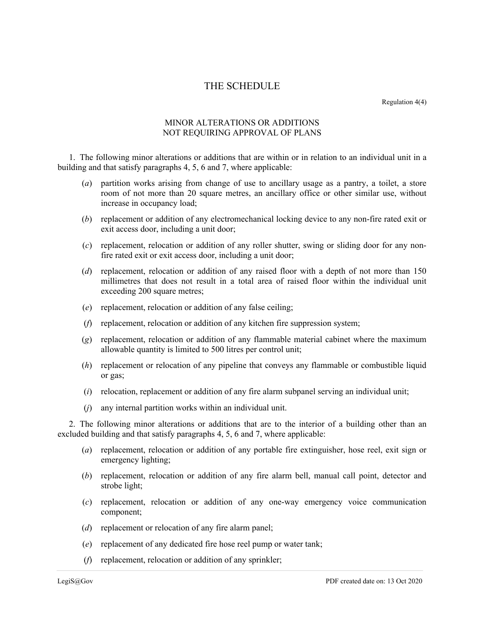## THE SCHEDULE

Regulation 4(4)

## MINOR ALTERATIONS OR ADDITIONS NOT REQUIRING APPROVAL OF PLANS

1. The following minor alterations or additions that are within or in relation to an individual unit in a building and that satisfy paragraphs 4, 5, 6 and 7, where applicable:

- (*a*) partition works arising from change of use to ancillary usage as a pantry, a toilet, a store room of not more than 20 square metres, an ancillary office or other similar use, without increase in occupancy load;
- (*b*) replacement or addition of any electromechanical locking device to any non-fire rated exit or exit access door, including a unit door;
- (*c*) replacement, relocation or addition of any roller shutter, swing or sliding door for any nonfire rated exit or exit access door, including a unit door;
- (*d*) replacement, relocation or addition of any raised floor with a depth of not more than 150 millimetres that does not result in a total area of raised floor within the individual unit exceeding 200 square metres;
- (*e*) replacement, relocation or addition of any false ceiling;
- (*f*) replacement, relocation or addition of any kitchen fire suppression system;
- (*g*) replacement, relocation or addition of any flammable material cabinet where the maximum allowable quantity is limited to 500 litres per control unit;
- (*h*) replacement or relocation of any pipeline that conveys any flammable or combustible liquid or gas;
- (*i*) relocation, replacement or addition of any fire alarm subpanel serving an individual unit;
- (*j*) any internal partition works within an individual unit.

2. The following minor alterations or additions that are to the interior of a building other than an excluded building and that satisfy paragraphs 4, 5, 6 and 7, where applicable:

- (*a*) replacement, relocation or addition of any portable fire extinguisher, hose reel, exit sign or emergency lighting;
- (*b*) replacement, relocation or addition of any fire alarm bell, manual call point, detector and strobe light;
- (*c*) replacement, relocation or addition of any one-way emergency voice communication component;
- (*d*) replacement or relocation of any fire alarm panel;
- (*e*) replacement of any dedicated fire hose reel pump or water tank;
- (*f*) replacement, relocation or addition of any sprinkler;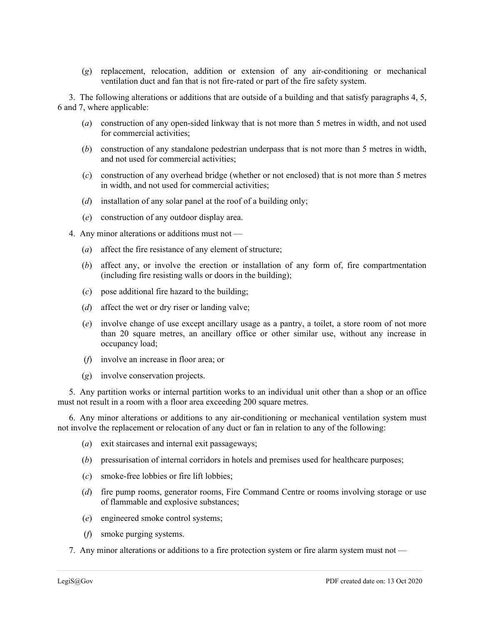(*g*) replacement, relocation, addition or extension of any air-conditioning or mechanical ventilation duct and fan that is not fire-rated or part of the fire safety system.

3. The following alterations or additions that are outside of a building and that satisfy paragraphs 4, 5, 6 and 7, where applicable:

- (*a*) construction of any open-sided linkway that is not more than 5 metres in width, and not used for commercial activities;
- (*b*) construction of any standalone pedestrian underpass that is not more than 5 metres in width, and not used for commercial activities;
- (*c*) construction of any overhead bridge (whether or not enclosed) that is not more than 5 metres in width, and not used for commercial activities;
- (*d*) installation of any solar panel at the roof of a building only;
- (*e*) construction of any outdoor display area.
- 4. Any minor alterations or additions must not
	- (*a*) affect the fire resistance of any element of structure;
	- (*b*) affect any, or involve the erection or installation of any form of, fire compartmentation (including fire resisting walls or doors in the building);
	- (*c*) pose additional fire hazard to the building;
	- (*d*) affect the wet or dry riser or landing valve;
	- (*e*) involve change of use except ancillary usage as a pantry, a toilet, a store room of not more than 20 square metres, an ancillary office or other similar use, without any increase in occupancy load;
	- (*f*) involve an increase in floor area; or
	- (*g*) involve conservation projects.

5. Any partition works or internal partition works to an individual unit other than a shop or an office must not result in a room with a floor area exceeding 200 square metres.

6. Any minor alterations or additions to any air-conditioning or mechanical ventilation system must not involve the replacement or relocation of any duct or fan in relation to any of the following:

- (*a*) exit staircases and internal exit passageways;
- (*b*) pressurisation of internal corridors in hotels and premises used for healthcare purposes;
- (*c*) smoke-free lobbies or fire lift lobbies;
- (*d*) fire pump rooms, generator rooms, Fire Command Centre or rooms involving storage or use of flammable and explosive substances;
- (*e*) engineered smoke control systems;
- (*f*) smoke purging systems.
- 7. Any minor alterations or additions to a fire protection system or fire alarm system must not —